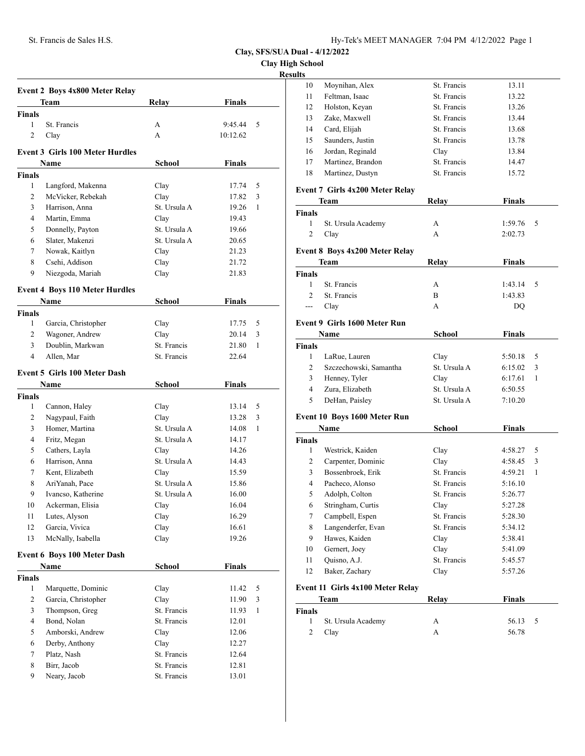**Clay High School**

**Results**

|               | Team                                   | <b>Relay</b> | <b>Finals</b> |   |
|---------------|----------------------------------------|--------------|---------------|---|
| <b>Finals</b> |                                        |              |               |   |
| $\mathbf{1}$  | St. Francis                            | A            | 9:45.44       | 5 |
| 2             | Clay                                   | A            | 10:12.62      |   |
|               | <b>Event 3 Girls 100 Meter Hurdles</b> |              |               |   |
|               | Name                                   | School       | Finals        |   |
| <b>Finals</b> |                                        |              |               |   |
| 1             | Langford, Makenna                      | Clay         | 17.74         | 5 |
| 2             | McVicker, Rebekah                      | Clay         | 17.82         | 3 |
| 3             | Harrison, Anna                         | St. Ursula A | 19.26         | 1 |
| 4             | Martin, Emma                           | Clay         | 19.43         |   |
| 5             | Donnelly, Payton                       | St. Ursula A | 19.66         |   |
| 6             | Slater, Makenzi                        | St. Ursula A | 20.65         |   |
| 7             | Nowak, Kaitlyn                         | Clay         | 21.23         |   |
| 8             | Csehi, Addison                         | Clay         | 21.72         |   |
| 9             | Niezgoda, Mariah                       | Clay         | 21.83         |   |
|               | <b>Event 4 Boys 110 Meter Hurdles</b>  |              |               |   |
|               | Name                                   | School       | <b>Finals</b> |   |
| <b>Finals</b> |                                        |              |               |   |
| 1             | Garcia, Christopher                    | Clay         | 17.75         | 5 |
| 2             | Wagoner, Andrew                        | Clay         | 20.14         | 3 |
| 3             | Doublin, Markwan                       | St. Francis  | 21.80         | 1 |
| 4             | Allen, Mar                             | St. Francis  | 22.64         |   |
|               | <b>Event 5 Girls 100 Meter Dash</b>    |              |               |   |
|               | Name                                   | School       | Finals        |   |
| <b>Finals</b> |                                        |              |               |   |
| 1             | Cannon, Haley                          | Clay         | 13.14         | 5 |
| 2             | Nagypaul, Faith                        | Clay         | 13.28         | 3 |
| 3             | Homer, Martina                         | St. Ursula A | 14.08         | 1 |
| 4             | Fritz, Megan                           | St. Ursula A | 14.17         |   |
| 5             | Cathers, Layla                         | Clay         | 14.26         |   |
| 6             | Harrison, Anna                         | St. Ursula A | 14.43         |   |
| 7             | Kent, Elizabeth                        | Clay         | 15.59         |   |
| 8             | AriYanah, Pace                         | St. Ursula A | 15.86         |   |
| 9             | Ivancso, Katherine                     | St. Ursula A | 16.00         |   |
| 10            | Ackerman, Elisia                       | Clay         | 16.04         |   |
| 11            | Lutes, Alyson                          | Clay         | 16.29         |   |
| 12            | Garcia, Vivica                         | Clay         | 16.61         |   |
| 13            | McNally, Isabella                      | Clay         | 19.26         |   |
|               | <b>Event 6 Boys 100 Meter Dash</b>     |              |               |   |
|               | Name                                   | School       | <b>Finals</b> |   |
| <b>Finals</b> |                                        |              |               |   |
| $\mathbf{1}$  | Marquette, Dominic                     | Clay         | 11.42         | 5 |
| 2             | Garcia, Christopher                    | Clay         | 11.90         | 3 |
| 3             | Thompson, Greg                         | St. Francis  | 11.93         | 1 |
| 4             | Bond, Nolan                            | St. Francis  | 12.01         |   |
| 5             | Amborski, Andrew                       | Clay         | 12.06         |   |
| 6             | Derby, Anthony                         | Clay         | 12.27         |   |
| 7             | Platz, Nash                            | St. Francis  | 12.64         |   |
|               |                                        |              |               |   |
| 8             | Birr, Jacob                            | St. Francis  | 12.81         |   |

| ults           |                                       |               |               |              |
|----------------|---------------------------------------|---------------|---------------|--------------|
| 10             | Moynihan, Alex                        | St. Francis   | 13.11         |              |
| 11             | Feltman, Isaac                        | St. Francis   | 13.22         |              |
| 12             | Holston, Keyan                        | St. Francis   | 13.26         |              |
| 13             | Zake, Maxwell                         | St. Francis   | 13.44         |              |
| 14             | Card, Elijah                          | St. Francis   | 13.68         |              |
| 15             | Saunders, Justin                      | St. Francis   | 13.78         |              |
| 16             | Jordan, Reginald                      | Clay          | 13.84         |              |
| 17             | Martinez, Brandon                     | St. Francis   | 14.47         |              |
| 18             | Martinez, Dustyn                      | St. Francis   | 15.72         |              |
|                | Event 7 Girls 4x200 Meter Relay       |               |               |              |
|                | Team                                  | <b>Relay</b>  | <b>Finals</b> |              |
| <b>Finals</b>  |                                       |               |               |              |
| 1              | St. Ursula Academy                    | А             | 1:59.76       | 5            |
| 2              | Clay                                  | А             | 2:02.73       |              |
|                | <b>Event 8 Boys 4x200 Meter Relay</b> |               |               |              |
|                | Team                                  | Relay         | <b>Finals</b> |              |
| <b>Finals</b>  |                                       |               |               |              |
| 1              | St. Francis                           | А             | 1:43.14       | 5            |
| $\mathfrak{D}$ | St. Francis                           | B             | 1:43.83       |              |
| ---            | Clay                                  | A             | DQ            |              |
|                | Event 9 Girls 1600 Meter Run          |               |               |              |
|                |                                       |               |               |              |
|                | Name                                  | School        | <b>Finals</b> |              |
| <b>Finals</b>  |                                       |               |               |              |
| 1              | LaRue, Lauren                         | Clay          | 5:50.18       | 5            |
| $\overline{2}$ | Szczechowski, Samantha                | St. Ursula A  | 6:15.02       | 3            |
| 3              | Henney, Tyler                         | Clay          | 6:17.61       | 1            |
| 4              | Zura, Elizabeth                       | St. Ursula A  | 6:50.55       |              |
| 5              | DeHan, Paisley                        | St. Ursula A  | 7:10.20       |              |
|                | Event 10 Boys 1600 Meter Run          |               |               |              |
|                | Name                                  | <b>School</b> | <b>Finals</b> |              |
| <b>Finals</b>  |                                       |               |               |              |
| 1              | Westrick, Kaiden                      | Clay          | 4:58.27       | 5            |
| 2              | Carpenter, Dominic                    | Clay          | 4:58.45       | 3            |
| 3              | Bossenbroek, Erik                     | St. Francis   | 4:59.21       | $\mathbf{1}$ |
| 4              | Pacheco, Alonso                       | St. Francis   | 5:16.10       |              |
| 5              | Adolph, Colton                        | St. Francis   | 5:26.77       |              |
| 6              | Stringham, Curtis                     | Clay          | 5:27.28       |              |
| 7              | Campbell, Espen                       | St. Francis   | 5:28.30       |              |
| 8              | Langenderfer, Evan                    | St. Francis   | 5:34.12       |              |
| 9              | Hawes, Kaiden                         | Clay          | 5:38.41       |              |
| 10             | Gernert, Joey                         | Clay          | 5:41.09       |              |
| 11             | Quisno, A.J.                          | St. Francis   | 5:45.57       |              |
| 12             | Baker, Zachary                        | Clay          | 5:57.26       |              |
|                | Event 11 Girls 4x100 Meter Relay      |               |               |              |
|                | Team                                  | <b>Relay</b>  | <b>Finals</b> |              |
| <b>Finals</b>  |                                       |               |               |              |
| 1              | St. Ursula Academy                    | А             | 56.13         | 5            |
|                |                                       |               |               |              |
| 2              |                                       | А             | 56.78         |              |
|                | Clay                                  |               |               |              |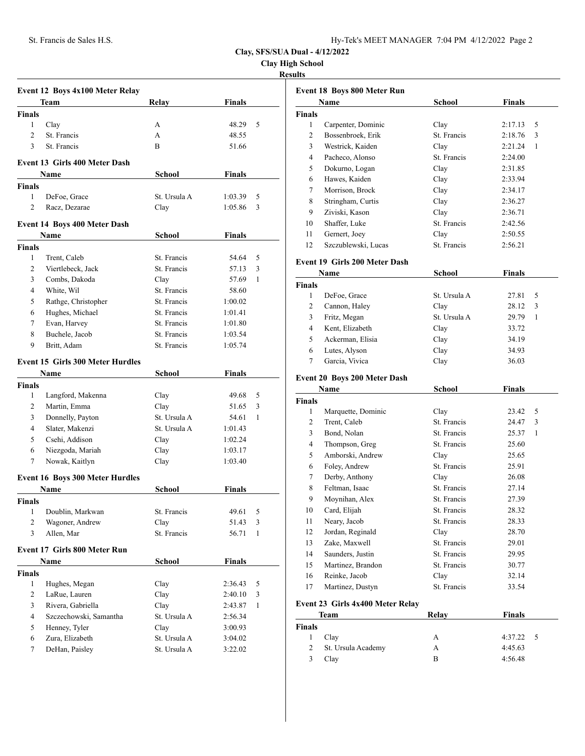**Clay High School**

#### **Results**

|                | <b>Event 12 Boys 4x100 Meter Relay</b>  |              |               |              |
|----------------|-----------------------------------------|--------------|---------------|--------------|
|                | Team                                    | Relay        | Finals        |              |
| <b>Finals</b>  |                                         |              |               |              |
| 1              | Clay                                    | А            | 48.29         | 5            |
| $\overline{c}$ | St. Francis                             | A            | 48.55         |              |
| 3              | St. Francis                             | B            | 51.66         |              |
|                |                                         |              |               |              |
|                | <b>Event 13 Girls 400 Meter Dash</b>    |              |               |              |
|                | Name                                    | School       | Finals        |              |
| <b>Finals</b>  |                                         |              |               |              |
| 1              | DeFoe, Grace                            | St. Ursula A | 1:03.39       | 5            |
| $\overline{c}$ | Racz, Dezarae                           | Clay         | 1:05.86       | 3            |
|                | <b>Event 14 Boys 400 Meter Dash</b>     |              |               |              |
|                | Name                                    | School       | Finals        |              |
| <b>Finals</b>  |                                         |              |               |              |
| 1              | Trent, Caleb                            | St. Francis  | 54.64         | 5            |
| 2              | Viertlebeck, Jack                       | St. Francis  | 57.13         | 3            |
| 3              | Combs, Dakoda                           | Clay         | 57.69         | 1            |
| 4              | White, Wil                              | St. Francis  | 58.60         |              |
| 5              | Rathge, Christopher                     | St. Francis  | 1:00.02       |              |
| 6              | Hughes, Michael                         | St. Francis  | 1:01.41       |              |
| 7              | Evan, Harvey                            | St. Francis  | 1:01.80       |              |
| 8              | Buchele, Jacob                          | St. Francis  | 1:03.54       |              |
| 9              | Britt, Adam                             | St. Francis  | 1:05.74       |              |
|                |                                         |              |               |              |
|                | <b>Event 15 Girls 300 Meter Hurdles</b> |              |               |              |
|                | Name                                    | School       | Finals        |              |
| <b>Finals</b>  |                                         |              |               |              |
| 1              | Langford, Makenna                       | Clay         | 49.68         | 5            |
| 2              | Martin, Emma                            | Clay         | 51.65         | 3            |
| 3              | Donnelly, Payton                        | St. Ursula A | 54.61         | 1            |
| 4              | Slater, Makenzi                         | St. Ursula A | 1:01.43       |              |
| 5              | Csehi, Addison                          | Clay         | 1:02.24       |              |
| 6              | Niezgoda, Mariah                        | Clay         | 1:03.17       |              |
| 7              | Nowak, Kaitlyn                          | Clay         | 1:03.40       |              |
|                | <b>Event 16 Boys 300 Meter Hurdles</b>  |              |               |              |
|                | Name                                    | School       | Finals        |              |
| Finals         |                                         |              |               |              |
| 1              | Doublin, Markwan                        | St. Francis  | 49.61         | 5            |
| 2              | Wagoner, Andrew                         | Clay         | 51.43         | 3            |
| 3              | Allen, Mar                              | St. Francis  | 56.71         | $\mathbf{1}$ |
|                |                                         |              |               |              |
|                | <b>Event 17 Girls 800 Meter Run</b>     |              |               |              |
|                | <b>Name</b>                             | School       | <b>Finals</b> |              |
| <b>Finals</b>  |                                         |              |               |              |
| 1              | Hughes, Megan                           | Clay         | 2:36.43       | 5            |
| $\overline{2}$ | LaRue, Lauren                           | Clay         | 2:40.10       | 3            |
| 3              | Rivera, Gabriella                       | Clay         | 2:43.87       | $\mathbf{1}$ |
| 4              | Szczechowski, Samantha                  | St. Ursula A | 2:56.34       |              |
| 5              | Henney, Tyler                           | Clay         | 3:00.93       |              |
| 6              | Zura, Elizabeth                         | St. Ursula A | 3:04.02       |              |
| 7              | DeHan, Paisley                          | St. Ursula A | 3:22.02       |              |

|                | <b>Event 18 Boys 800 Meter Run</b> |               |              |  |  |
|----------------|------------------------------------|---------------|--------------|--|--|
| Name<br>School |                                    | <b>Finals</b> |              |  |  |
| <b>Finals</b>  |                                    |               |              |  |  |
| 1              | Carpenter, Dominic                 | Clay          | 5<br>2:17.13 |  |  |
| 2              | Bossenbroek, Erik                  | St. Francis   | 2:18.76<br>3 |  |  |
| 3              | Westrick, Kaiden                   | Clay          | 1<br>2:21.24 |  |  |
| 4              | Pacheco, Alonso                    | St. Francis   | 2:24.00      |  |  |
| 5              | Dokurno, Logan                     | Clay          | 2:31.85      |  |  |
| 6              | Hawes, Kaiden                      | Clay          | 2:33.94      |  |  |
| 7              | Morrison, Brock                    | Clay          | 2:34.17      |  |  |
| 8              | Stringham, Curtis                  | Clay          | 2:36.27      |  |  |
| 9              | Ziviski, Kason                     | Clay          | 2:36.71      |  |  |
| 10             | Shaffer, Luke                      | St. Francis   | 2:42.56      |  |  |
| 11             | Gernert, Joey                      | Clay          | 2:50.55      |  |  |
| 12             | Szczublewski, Lucas                | St. Francis   | 2:56.21      |  |  |
|                |                                    |               |              |  |  |

#### **Event 19 Girls 200 Meter Dash**

| Name          |                  | School       | <b>Finals</b> |
|---------------|------------------|--------------|---------------|
| <b>Finals</b> |                  |              |               |
|               | DeFoe, Grace     | St. Ursula A | 27.81<br>5    |
| 2             | Cannon, Haley    | Clay         | 28.12<br>3    |
| 3             | Fritz, Megan     | St. Ursula A | 29.79         |
| 4             | Kent, Elizabeth  | Clay         | 33.72         |
| 5             | Ackerman, Elisia | Clay         | 34.19         |
| 6             | Lutes, Alyson    | Clay         | 34.93         |
|               | Garcia, Vivica   | Clay         | 36.03         |

## **Event 20 Boys 200 Meter Dash**

| Name          |                    | School      | Finals     |  |
|---------------|--------------------|-------------|------------|--|
| <b>Finals</b> |                    |             |            |  |
| 1             | Marquette, Dominic | Clay        | 5<br>23.42 |  |
| 2             | Trent, Caleb       | St. Francis | 3<br>24.47 |  |
| 3             | Bond, Nolan        | St. Francis | 25.37<br>1 |  |
| 4             | Thompson, Greg     | St. Francis | 25.60      |  |
| 5             | Amborski, Andrew   | Clay        | 25.65      |  |
| 6             | Foley, Andrew      | St. Francis | 25.91      |  |
| 7             | Derby, Anthony     | Clay        | 26.08      |  |
| 8             | Feltman, Isaac     | St. Francis | 27.14      |  |
| 9             | Moynihan, Alex     | St. Francis | 27.39      |  |
| 10            | Card, Elijah       | St. Francis | 28.32      |  |
| 11            | Neary, Jacob       | St. Francis | 28.33      |  |
| 12            | Jordan, Reginald   | Clay        | 28.70      |  |
| 13            | Zake, Maxwell      | St. Francis | 29.01      |  |
| 14            | Saunders, Justin   | St. Francis | 29.95      |  |
| 15            | Martinez, Brandon  | St. Francis | 30.77      |  |
| 16            | Reinke, Jacob      | Clay        | 32.14      |  |
| 17            | Martinez, Dustyn   | St. Francis | 33.54      |  |

### **Event 23 Girls 4x400 Meter Relay**

| Team          |                    | Relay | <b>Finals</b> |
|---------------|--------------------|-------|---------------|
| <b>Finals</b> |                    |       |               |
| 1             | Clay               | А     | $4:37.22$ 5   |
| 2             | St. Ursula Academy | A     | 4:45.63       |
| 3             | Clay               | в     | 4:56.48       |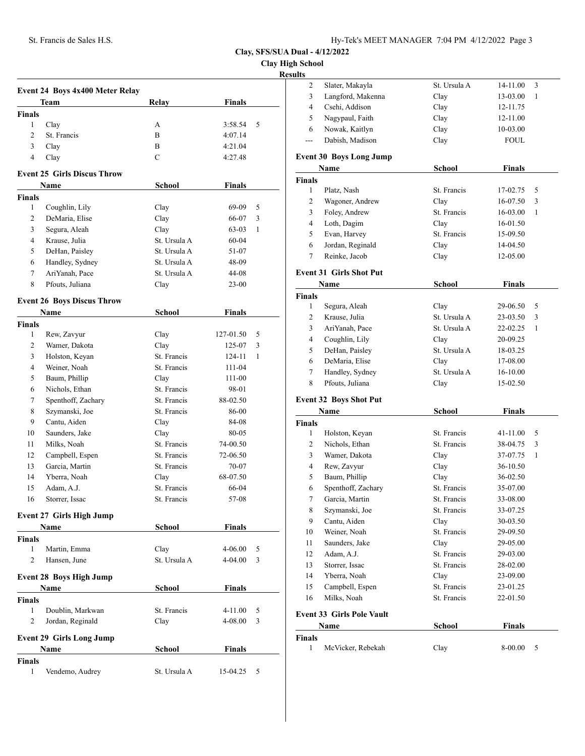**Clay High School**

|                |                                           |               |               | <b>Results</b> |
|----------------|-------------------------------------------|---------------|---------------|----------------|
|                | Event 24 Boys 4x400 Meter Relay           |               |               |                |
|                | Team                                      | <b>Relay</b>  | <b>Finals</b> |                |
| <b>Finals</b>  |                                           |               |               |                |
| 1              | Clay                                      | A             | 3:58.54       | 5              |
| 2              | St. Francis                               | B             | 4:07.14       |                |
| 3              | Clay                                      | B             | 4:21.04       |                |
| 4              | Clay                                      | $\mathbf C$   | 4:27.48       |                |
|                | <b>Event 25 Girls Discus Throw</b>        |               |               |                |
|                | Name                                      | <b>School</b> | <b>Finals</b> |                |
| <b>Finals</b>  |                                           |               |               |                |
| 1              | Coughlin, Lily                            | Clay          | 69-09         | 5              |
| 2              | DeMaria, Elise                            | Clay          | 66-07         | 3              |
| 3              | Segura, Aleah                             | Clay          | 63-03         | 1              |
| $\overline{4}$ | Krause, Julia                             | St. Ursula A  | $60 - 04$     |                |
| 5              | DeHan, Paisley                            | St. Ursula A  | 51-07         |                |
| 6              | Handley, Sydney                           | St. Ursula A  | 48-09         |                |
| 7              | AriYanah, Pace                            | St. Ursula A  | 44-08         |                |
| 8              | Pfouts, Juliana                           | Clay          | $23 - 00$     |                |
|                |                                           |               |               |                |
|                | <b>Event 26 Boys Discus Throw</b><br>Name | School        | <b>Finals</b> |                |
| <b>Finals</b>  |                                           |               |               |                |
| 1              | Rew, Zavyur                               | Clay          | 127-01.50     | 5              |
| $\overline{c}$ | Wamer, Dakota                             | Clay          | 125-07        | 3              |
| 3              | Holston, Keyan                            | St. Francis   | 124-11        | 1              |
| $\overline{4}$ |                                           | St. Francis   |               |                |
|                | Weiner, Noah                              |               | 111-04        |                |
| 5              | Baum, Phillip                             | Clay          | 111-00        |                |
| 6              | Nichols, Ethan                            | St. Francis   | 98-01         |                |
| 7              | Spenthoff, Zachary                        | St. Francis   | 88-02.50      |                |
| 8              | Szymanski, Joe                            | St. Francis   | 86-00         |                |
| 9              | Cantu, Aiden                              | Clay          | 84-08         |                |
| 10             | Saunders, Jake                            | Clay          | 80-05         |                |
| 11             | Milks, Noah                               | St. Francis   | 74-00.50      |                |
| 12             | Campbell, Espen                           | St. Francis   | 72-06.50      |                |
| 13             | Garcia, Martin                            | St. Francis   | 70-07         |                |
| 14             | Yberra, Noah                              | Clay          | 68-07.50      |                |
| 15             | Adam, A.J.                                | St. Francis   | 66-04         |                |
| 16             | Storrer, Issac                            | St. Francis   | 57-08         |                |
|                | <b>Event 27 Girls High Jump</b>           |               |               |                |
|                | Name                                      | School        | <b>Finals</b> |                |
| <b>Finals</b>  |                                           |               |               |                |
| $\mathbf{1}$   | Martin, Emma                              | Clay          | 4-06.00       | 5              |
| 2              | Hansen, June                              | St. Ursula A  | 4-04.00       | 3              |
|                | <b>Event 28 Boys High Jump</b>            |               |               |                |
|                | Name                                      | School        | Finals        |                |
| <b>Finals</b>  |                                           |               |               |                |
| $\mathbf{1}$   | Doublin, Markwan                          | St. Francis   | 4-11.00       | 5              |
| $\overline{2}$ | Jordan, Reginald                          | Clay          | 4-08.00       | 3              |
|                | <b>Event 29 Girls Long Jump</b>           |               |               |                |
|                | Name                                      | School        | <b>Finals</b> |                |
| <b>Finals</b>  |                                           |               |               |                |
| 1              | Vendemo, Audrey                           | St. Ursula A  | 15-04.25      | 5              |
|                |                                           |               |               |                |

| $\overline{\mathbf{c}}$ | Slater, Makayla                  | St. Ursula A        | 14-11.00      | 3 |
|-------------------------|----------------------------------|---------------------|---------------|---|
| 3                       | Langford, Makenna                | Clay                | 13-03.00      | 1 |
| 4                       | Csehi, Addison                   | Clay                | 12-11.75      |   |
| 5                       | Nagypaul, Faith                  | Clay                | 12-11.00      |   |
| 6                       | Nowak, Kaitlyn                   | Clay                | 10-03.00      |   |
| ---                     | Dabish, Madison                  | Clay                | <b>FOUL</b>   |   |
|                         | <b>Event 30 Boys Long Jump</b>   |                     |               |   |
|                         | Name                             | <b>School</b>       | <b>Finals</b> |   |
| <b>Finals</b>           |                                  |                     |               |   |
| $\mathbf{1}$            | Platz, Nash                      | St. Francis         | 17-02.75      | 5 |
| 2                       | Wagoner, Andrew                  | Clay                | 16-07.50      | 3 |
| 3                       | Foley, Andrew                    | St. Francis         | 16-03.00      | 1 |
| 4                       | Loth, Dagim                      | Clay                | 16-01.50      |   |
| 5                       | Evan, Harvey                     | St. Francis         | 15-09.50      |   |
| 6                       | Jordan, Reginald                 | Clay                | 14-04.50      |   |
| 7                       | Reinke, Jacob                    | Clay                | 12-05.00      |   |
|                         | <b>Event 31 Girls Shot Put</b>   |                     |               |   |
|                         | Name                             | <b>School</b>       | <b>Finals</b> |   |
| <b>Finals</b>           |                                  |                     |               |   |
| 1                       | Segura, Aleah                    | Clay                | 29-06.50      | 5 |
|                         |                                  | St. Ursula A        |               |   |
| 2                       | Krause, Julia                    |                     | 23-03.50      | 3 |
| 3                       | AriYanah, Pace                   | St. Ursula A        | 22-02.25      | 1 |
| 4                       | Coughlin, Lily                   | Clay                | 20-09.25      |   |
| 5                       | DeHan, Paisley                   | St. Ursula A        | 18-03.25      |   |
| 6                       | DeMaria, Elise                   | Clay                | 17-08.00      |   |
| 7                       | Handley, Sydney                  | St. Ursula A        | 16-10.00      |   |
| 8                       | Pfouts, Juliana                  | Clay                | 15-02.50      |   |
|                         | <b>Event 32 Boys Shot Put</b>    |                     |               |   |
|                         | Name                             | School              | <b>Finals</b> |   |
| Finals                  |                                  |                     |               |   |
| 1                       | Holston, Keyan                   | St. Francis         | 41-11.00      | 5 |
| 2                       | Nichols, Ethan                   | St. Francis         | 38-04.75      | 3 |
| 3                       | Wamer, Dakota                    | Clay                | 37-07.75      | 1 |
| 4                       | Rew, Zavyur                      | Clay                | 36-10.50      |   |
| 5                       | Baum, Phillip                    | Clay                | 36-02.50      |   |
| 6                       | Spenthoff, Zachary               | St. Francis         | 35-07.00      |   |
| 7                       | Garcia, Martin                   | St. Francis         | 33-08.00      |   |
| 8                       | Szymanski, Joe                   | St. Francis         | 33-07.25      |   |
| 9                       | Cantu, Aiden                     | Clay                | 30-03.50      |   |
| 10                      | Weiner, Noah                     | St. Francis         | 29-09.50      |   |
| 11                      | Saunders, Jake                   | Clay                | 29-05.00      |   |
| 12                      | Adam, A.J.                       | St. Francis         | 29-03.00      |   |
| 13                      | Storrer, Issac                   | St. Francis         | 28-02.00      |   |
| 14                      | Yberra, Noah                     |                     |               |   |
|                         |                                  | Clay<br>St. Francis | 23-09.00      |   |
| 15                      | Campbell, Espen                  |                     | 23-01.25      |   |
| 16                      | Milks, Noah                      | St. Francis         | 22-01.50      |   |
|                         | <b>Event 33 Girls Pole Vault</b> |                     |               |   |
|                         | Name                             | School              | <b>Finals</b> |   |
| <b>Finals</b>           |                                  |                     |               |   |
| 1                       | McVicker, Rebekah                | Clay                | 8-00.00       | 5 |